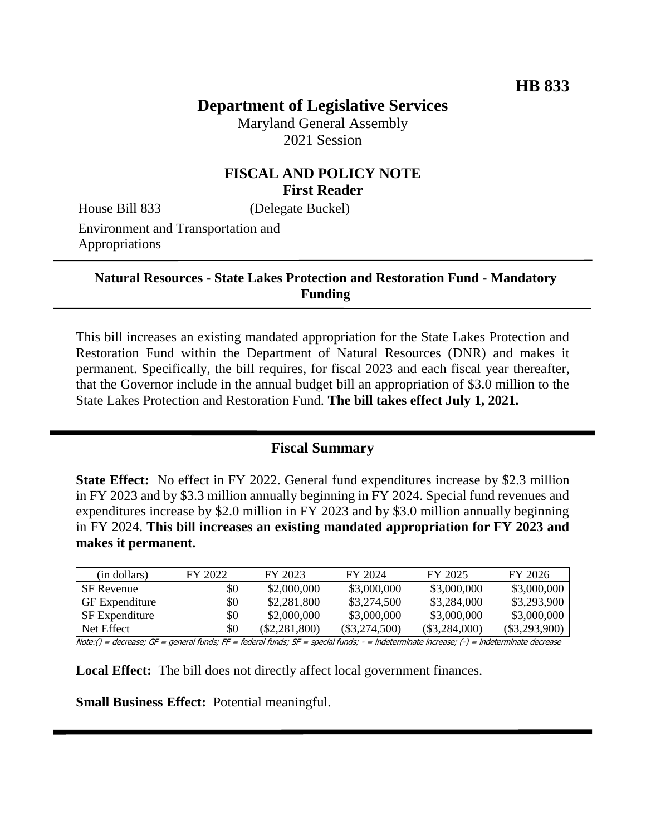# **Department of Legislative Services**

Maryland General Assembly 2021 Session

### **FISCAL AND POLICY NOTE First Reader**

House Bill 833 (Delegate Buckel)

Environment and Transportation and Appropriations

#### **Natural Resources - State Lakes Protection and Restoration Fund - Mandatory Funding**

This bill increases an existing mandated appropriation for the State Lakes Protection and Restoration Fund within the Department of Natural Resources (DNR) and makes it permanent. Specifically, the bill requires, for fiscal 2023 and each fiscal year thereafter, that the Governor include in the annual budget bill an appropriation of \$3.0 million to the State Lakes Protection and Restoration Fund. **The bill takes effect July 1, 2021.**

#### **Fiscal Summary**

**State Effect:** No effect in FY 2022. General fund expenditures increase by \$2.3 million in FY 2023 and by \$3.3 million annually beginning in FY 2024. Special fund revenues and expenditures increase by \$2.0 million in FY 2023 and by \$3.0 million annually beginning in FY 2024. **This bill increases an existing mandated appropriation for FY 2023 and makes it permanent.**

| (in dollars)          | FY 2022 | FY 2023         | FY 2024         | FY 2025         | FY 2026         |
|-----------------------|---------|-----------------|-----------------|-----------------|-----------------|
| SF Revenue            | \$0     | \$2,000,000     | \$3,000,000     | \$3,000,000     | \$3,000,000     |
| <b>GF</b> Expenditure | \$0     | \$2,281,800     | \$3,274,500     | \$3,284,000     | \$3,293,900     |
| <b>SF</b> Expenditure | \$0     | \$2,000,000     | \$3,000,000     | \$3,000,000     | \$3,000,000     |
| Net Effect            | \$0     | $(\$2,281,800)$ | $(\$3,274,500)$ | $(\$3,284,000)$ | $(\$3,293,900)$ |

Note:() = decrease; GF = general funds; FF = federal funds; SF = special funds; - = indeterminate increase; (-) = indeterminate decrease

**Local Effect:** The bill does not directly affect local government finances.

**Small Business Effect:** Potential meaningful.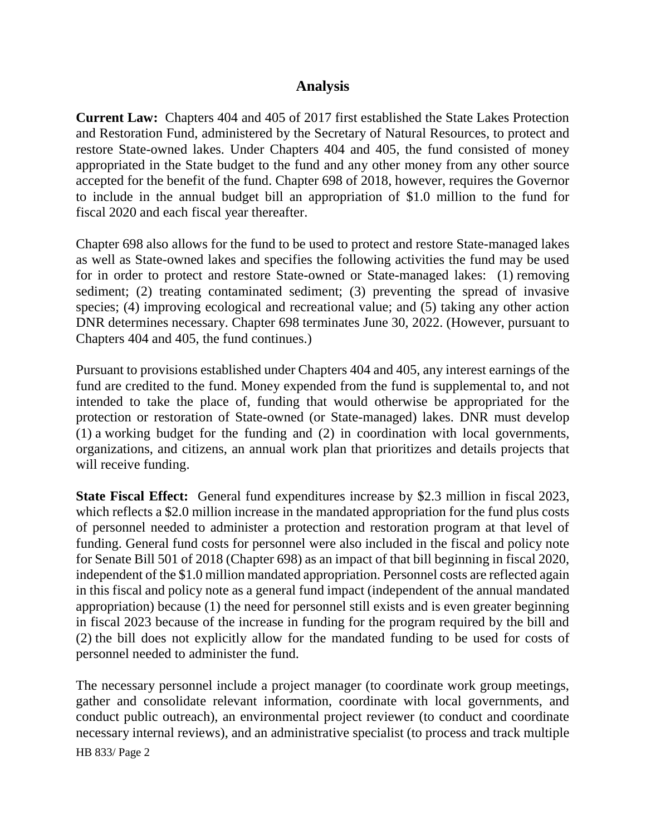### **Analysis**

**Current Law:** Chapters 404 and 405 of 2017 first established the State Lakes Protection and Restoration Fund, administered by the Secretary of Natural Resources, to protect and restore State-owned lakes. Under Chapters 404 and 405, the fund consisted of money appropriated in the State budget to the fund and any other money from any other source accepted for the benefit of the fund. Chapter 698 of 2018, however, requires the Governor to include in the annual budget bill an appropriation of \$1.0 million to the fund for fiscal 2020 and each fiscal year thereafter.

Chapter 698 also allows for the fund to be used to protect and restore State-managed lakes as well as State-owned lakes and specifies the following activities the fund may be used for in order to protect and restore State-owned or State-managed lakes: (1) removing sediment; (2) treating contaminated sediment; (3) preventing the spread of invasive species; (4) improving ecological and recreational value; and (5) taking any other action DNR determines necessary. Chapter 698 terminates June 30, 2022. (However, pursuant to Chapters 404 and 405, the fund continues.)

Pursuant to provisions established under Chapters 404 and 405, any interest earnings of the fund are credited to the fund. Money expended from the fund is supplemental to, and not intended to take the place of, funding that would otherwise be appropriated for the protection or restoration of State-owned (or State-managed) lakes. DNR must develop (1) a working budget for the funding and (2) in coordination with local governments, organizations, and citizens, an annual work plan that prioritizes and details projects that will receive funding.

**State Fiscal Effect:** General fund expenditures increase by \$2.3 million in fiscal 2023, which reflects a \$2.0 million increase in the mandated appropriation for the fund plus costs of personnel needed to administer a protection and restoration program at that level of funding. General fund costs for personnel were also included in the fiscal and policy note for Senate Bill 501 of 2018 (Chapter 698) as an impact of that bill beginning in fiscal 2020, independent of the \$1.0 million mandated appropriation. Personnel costs are reflected again in this fiscal and policy note as a general fund impact (independent of the annual mandated appropriation) because (1) the need for personnel still exists and is even greater beginning in fiscal 2023 because of the increase in funding for the program required by the bill and (2) the bill does not explicitly allow for the mandated funding to be used for costs of personnel needed to administer the fund.

The necessary personnel include a project manager (to coordinate work group meetings, gather and consolidate relevant information, coordinate with local governments, and conduct public outreach), an environmental project reviewer (to conduct and coordinate necessary internal reviews), and an administrative specialist (to process and track multiple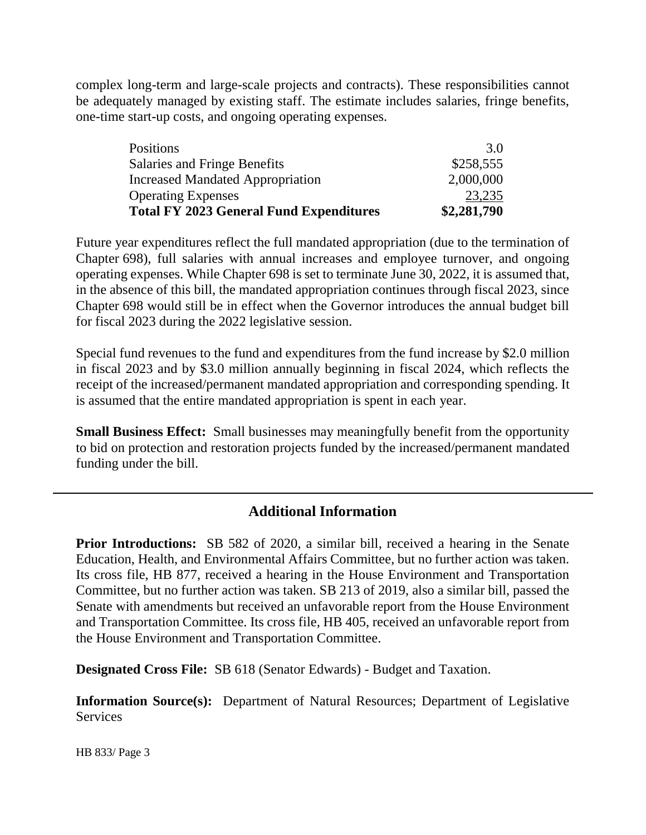complex long-term and large-scale projects and contracts). These responsibilities cannot be adequately managed by existing staff. The estimate includes salaries, fringe benefits, one-time start-up costs, and ongoing operating expenses.

| 23,235    |
|-----------|
|           |
| 2,000,000 |
| \$258,555 |
| 3.0       |
|           |

Future year expenditures reflect the full mandated appropriation (due to the termination of Chapter 698), full salaries with annual increases and employee turnover, and ongoing operating expenses. While Chapter 698 is set to terminate June 30, 2022, it is assumed that, in the absence of this bill, the mandated appropriation continues through fiscal 2023, since Chapter 698 would still be in effect when the Governor introduces the annual budget bill for fiscal 2023 during the 2022 legislative session.

Special fund revenues to the fund and expenditures from the fund increase by \$2.0 million in fiscal 2023 and by \$3.0 million annually beginning in fiscal 2024, which reflects the receipt of the increased/permanent mandated appropriation and corresponding spending. It is assumed that the entire mandated appropriation is spent in each year.

**Small Business Effect:** Small businesses may meaningfully benefit from the opportunity to bid on protection and restoration projects funded by the increased/permanent mandated funding under the bill.

## **Additional Information**

**Prior Introductions:** SB 582 of 2020, a similar bill, received a hearing in the Senate Education, Health, and Environmental Affairs Committee, but no further action was taken. Its cross file, HB 877, received a hearing in the House Environment and Transportation Committee, but no further action was taken. SB 213 of 2019, also a similar bill, passed the Senate with amendments but received an unfavorable report from the House Environment and Transportation Committee. Its cross file, HB 405, received an unfavorable report from the House Environment and Transportation Committee.

**Designated Cross File:** SB 618 (Senator Edwards) - Budget and Taxation.

**Information Source(s):** Department of Natural Resources; Department of Legislative Services